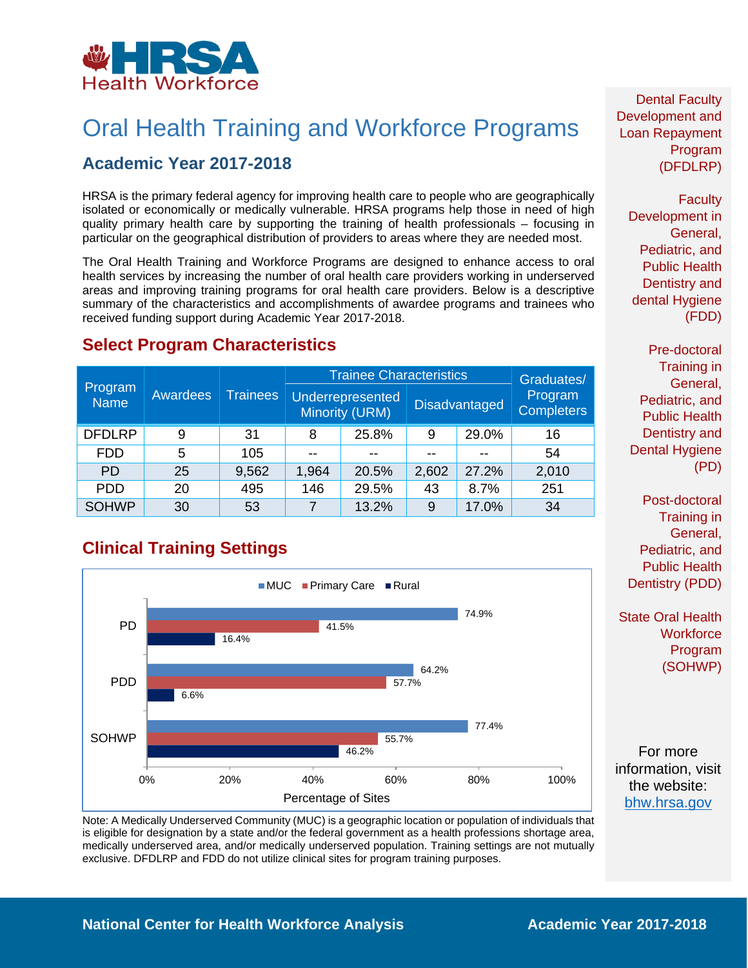

# Oral Health Training and Workforce Programs

## **Academic Year 2017-2018**

HRSA is the primary federal agency for improving health care to people who are geographically isolated or economically or medically vulnerable. HRSA programs help those in need of high quality primary health care by supporting the training of health professionals – focusing in particular on the geographical distribution of providers to areas where they are needed most.

The Oral Health Training and Workforce Programs are designed to enhance access to oral health services by increasing the number of oral health care providers working in underserved areas and improving training programs for oral health care providers. Below is a descriptive summary of the characteristics and accomplishments of awardee programs and trainees who received funding support during Academic Year 2017-2018.

|                        | Awardees | <b>Trainees</b> | <b>Trainee Characteristics</b> |                                           |       |                      | Graduates/                   |
|------------------------|----------|-----------------|--------------------------------|-------------------------------------------|-------|----------------------|------------------------------|
| Program<br><b>Name</b> |          |                 |                                | <b>Underrepresented</b><br>Minority (URM) |       | <b>Disadvantaged</b> | Program<br><b>Completers</b> |
| <b>DFDLRP</b>          | 9        | 31              | 8                              | 25.8%                                     | 9     | 29.0%                | 16                           |
| <b>FDD</b>             | 5        | 105             | --                             |                                           | --    |                      | 54                           |
| <b>PD</b>              | 25       | 9,562           | 1,964                          | 20.5%                                     | 2,602 | 27.2%                | 2,010                        |
| <b>PDD</b>             | 20       | 495             | 146                            | 29.5%                                     | 43    | 8.7%                 | 251                          |
| <b>SOHWP</b>           | 30       | 53              |                                | 13.2%                                     | 9     | 17.0%                | 34                           |

#### **Select Program Characteristics**

## **Clinical Training Settings**



Dental Faculty Development and Loan Repayment Program (DFDLRP)

> **Faculty** Development in General, Pediatric, and Public Health Dentistry and dental Hygiene (FDD)

Pre-doctoral Training in General, Pediatric, and Public Health Dentistry and Dental Hygiene (PD)

Post-doctoral Training in General, Pediatric, and Public Health Dentistry (PDD)

State Oral Health **Workforce** Program (SOHWP)

For more information, visit the website: [bhw.hrsa.gov](http://bhw.hrsa.gov/)

Note: A Medically Underserved Community (MUC) is a geographic location or population of individuals that is eligible for designation by a state and/or the federal government as a health professions shortage area, medically underserved area, and/or medically underserved population. Training settings are not mutually exclusive. DFDLRP and FDD do not utilize clinical sites for program training purposes.